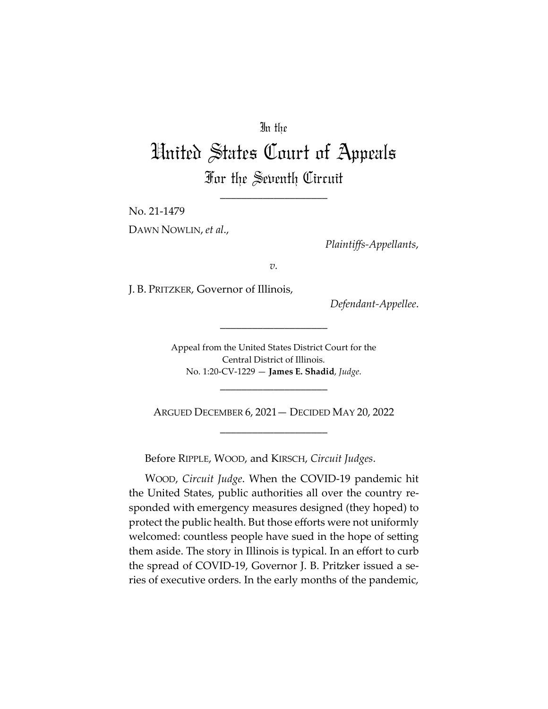# In the

# United States Court of Appeals For the Seventh Circuit

\_\_\_\_\_\_\_\_\_\_\_\_\_\_\_\_\_\_\_\_

No. 21-1479

DAWN NOWLIN, *et al*.,

*Plaintiffs-Appellants*,

*v.*

J. B. PRITZKER, Governor of Illinois,

*Defendant-Appellee*.

Appeal from the United States District Court for the Central District of Illinois. No. 1:20-CV-1229 — **James E. Shadid**, *Judge*.

\_\_\_\_\_\_\_\_\_\_\_\_\_\_\_\_\_\_\_\_

ARGUED DECEMBER 6, 2021— DECIDED MAY 20, 2022 \_\_\_\_\_\_\_\_\_\_\_\_\_\_\_\_\_\_\_\_

\_\_\_\_\_\_\_\_\_\_\_\_\_\_\_\_\_\_\_\_

Before RIPPLE, WOOD, and KIRSCH, *Circuit Judges*.

WOOD, *Circuit Judge*. When the COVID-19 pandemic hit the United States, public authorities all over the country responded with emergency measures designed (they hoped) to protect the public health. But those efforts were not uniformly welcomed: countless people have sued in the hope of setting them aside. The story in Illinois is typical. In an effort to curb the spread of COVID-19, Governor J. B. Pritzker issued a series of executive orders. In the early months of the pandemic,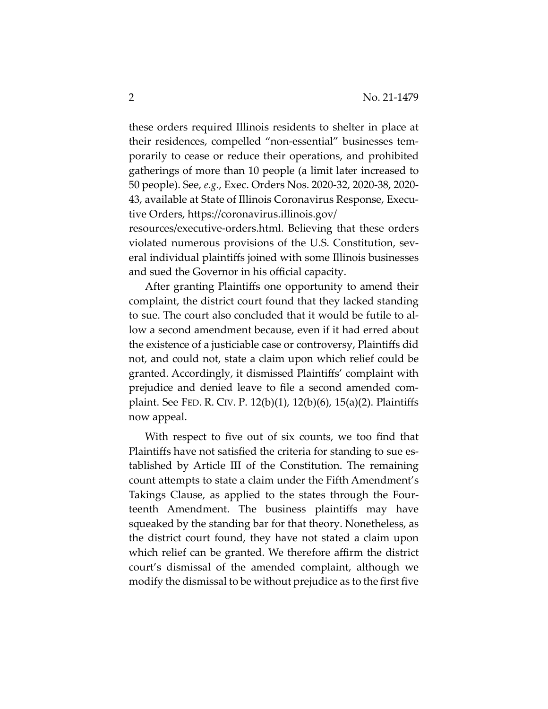these orders required Illinois residents to shelter in place at their residences, compelled "non-essential" businesses temporarily to cease or reduce their operations, and prohibited gatherings of more than 10 people (a limit later increased to 50 people). See, *e.g.*, Exec. Orders Nos. 2020-32, 2020-38, 2020- 43, available at State of Illinois Coronavirus Response, Executive Orders, https://coronavirus.illinois.gov/ resources/executive-orders.html. Believing that these orders

violated numerous provisions of the U.S. Constitution, several individual plaintiffs joined with some Illinois businesses and sued the Governor in his official capacity.

After granting Plaintiffs one opportunity to amend their complaint, the district court found that they lacked standing to sue. The court also concluded that it would be futile to allow a second amendment because, even if it had erred about the existence of a justiciable case or controversy, Plaintiffs did not, and could not, state a claim upon which relief could be granted. Accordingly, it dismissed Plaintiffs' complaint with prejudice and denied leave to file a second amended complaint. See FED. R. CIV. P. 12(b)(1), 12(b)(6), 15(a)(2). Plaintiffs now appeal.

With respect to five out of six counts, we too find that Plaintiffs have not satisfied the criteria for standing to sue established by Article III of the Constitution. The remaining count attempts to state a claim under the Fifth Amendment's Takings Clause, as applied to the states through the Fourteenth Amendment. The business plaintiffs may have squeaked by the standing bar for that theory. Nonetheless, as the district court found, they have not stated a claim upon which relief can be granted. We therefore affirm the district court's dismissal of the amended complaint, although we modify the dismissal to be without prejudice as to the first five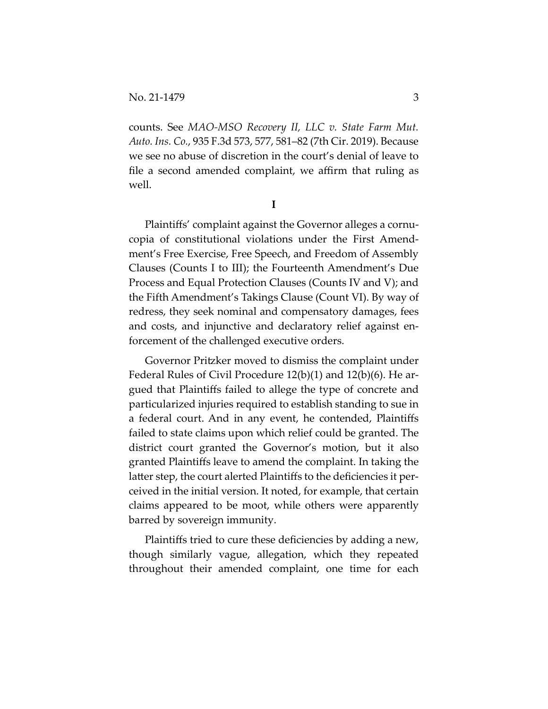counts. See *MAO-MSO Recovery II, LLC v. State Farm Mut. Auto. Ins. Co.*, 935 F.3d 573, 577, 581–82 (7th Cir. 2019). Because we see no abuse of discretion in the court's denial of leave to file a second amended complaint, we affirm that ruling as well.

**I** 

Plaintiffs' complaint against the Governor alleges a cornucopia of constitutional violations under the First Amendment's Free Exercise, Free Speech, and Freedom of Assembly Clauses (Counts I to III); the Fourteenth Amendment's Due Process and Equal Protection Clauses (Counts IV and V); and the Fifth Amendment's Takings Clause (Count VI). By way of redress, they seek nominal and compensatory damages, fees and costs, and injunctive and declaratory relief against enforcement of the challenged executive orders.

Governor Pritzker moved to dismiss the complaint under Federal Rules of Civil Procedure 12(b)(1) and 12(b)(6). He argued that Plaintiffs failed to allege the type of concrete and particularized injuries required to establish standing to sue in a federal court. And in any event, he contended, Plaintiffs failed to state claims upon which relief could be granted. The district court granted the Governor's motion, but it also granted Plaintiffs leave to amend the complaint. In taking the latter step, the court alerted Plaintiffs to the deficiencies it perceived in the initial version. It noted, for example, that certain claims appeared to be moot, while others were apparently barred by sovereign immunity.

Plaintiffs tried to cure these deficiencies by adding a new, though similarly vague, allegation, which they repeated throughout their amended complaint, one time for each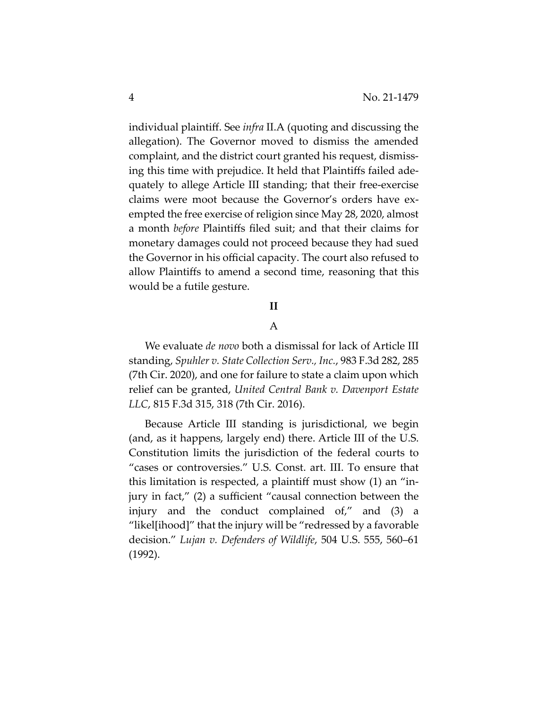individual plaintiff. See *infra* II.A (quoting and discussing the allegation). The Governor moved to dismiss the amended complaint, and the district court granted his request, dismissing this time with prejudice. It held that Plaintiffs failed adequately to allege Article III standing; that their free-exercise claims were moot because the Governor's orders have exempted the free exercise of religion since May 28, 2020, almost a month *before* Plaintiffs filed suit; and that their claims for monetary damages could not proceed because they had sued the Governor in his official capacity. The court also refused to allow Plaintiffs to amend a second time, reasoning that this would be a futile gesture.

## **II**

### A

We evaluate *de novo* both a dismissal for lack of Article III standing, *Spuhler v. State Collection Serv., Inc.*, 983 F.3d 282, 285 (7th Cir. 2020), and one for failure to state a claim upon which relief can be granted, *United Central Bank v. Davenport Estate LLC*, 815 F.3d 315, 318 (7th Cir. 2016).

Because Article III standing is jurisdictional, we begin (and, as it happens, largely end) there. Article III of the U.S. Constitution limits the jurisdiction of the federal courts to "cases or controversies." U.S. Const. art. III. To ensure that this limitation is respected, a plaintiff must show (1) an "injury in fact," (2) a sufficient "causal connection between the injury and the conduct complained of," and (3) a "likel[ihood]" that the injury will be "redressed by a favorable decision." *Lujan v. Defenders of Wildlife*, 504 U.S. 555, 560–61 (1992).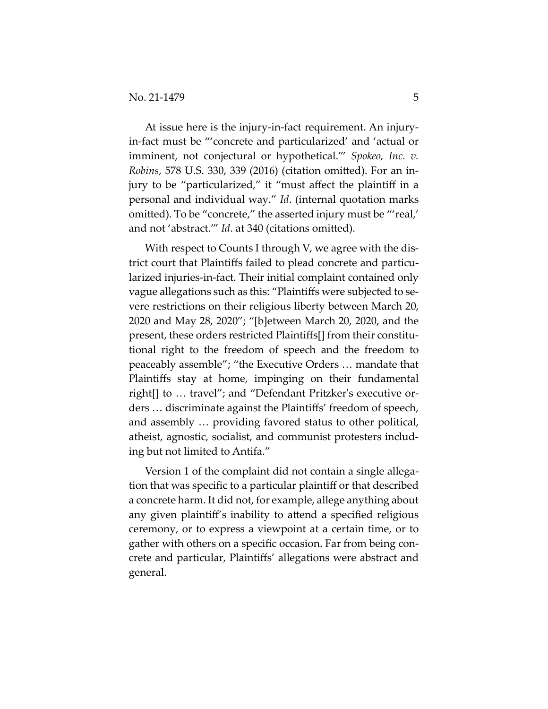At issue here is the injury-in-fact requirement. An injuryin-fact must be "'concrete and particularized' and 'actual or imminent, not conjectural or hypothetical.'" *Spokeo, Inc. v. Robins*, 578 U.S. 330, 339 (2016) (citation omitted). For an injury to be "particularized," it "must affect the plaintiff in a personal and individual way." *Id*. (internal quotation marks omitted). To be "concrete," the asserted injury must be "'real,' and not 'abstract.'" *Id*. at 340 (citations omitted).

With respect to Counts I through V, we agree with the district court that Plaintiffs failed to plead concrete and particularized injuries-in-fact. Their initial complaint contained only vague allegations such as this: "Plaintiffs were subjected to severe restrictions on their religious liberty between March 20, 2020 and May 28, 2020"; "[b]etween March 20, 2020, and the present, these orders restricted Plaintiffs[] from their constitutional right to the freedom of speech and the freedom to peaceably assemble"; "the Executive Orders … mandate that Plaintiffs stay at home, impinging on their fundamental right[] to … travel"; and "Defendant Pritzker's executive orders … discriminate against the Plaintiffs' freedom of speech, and assembly … providing favored status to other political, atheist, agnostic, socialist, and communist protesters including but not limited to Antifa."

Version 1 of the complaint did not contain a single allegation that was specific to a particular plaintiff or that described a concrete harm. It did not, for example, allege anything about any given plaintiff's inability to attend a specified religious ceremony, or to express a viewpoint at a certain time, or to gather with others on a specific occasion. Far from being concrete and particular, Plaintiffs' allegations were abstract and general.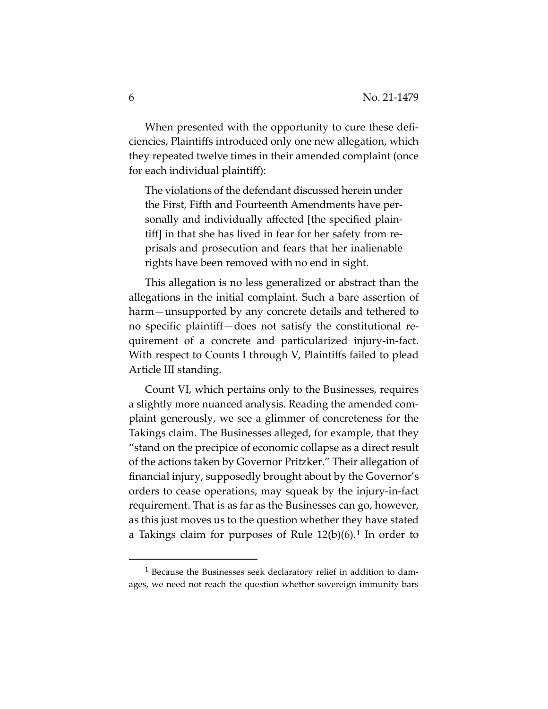When presented with the opportunity to cure these deficiencies, Plaintiffs introduced only one new allegation, which they repeated twelve times in their amended complaint (once for each individual plaintiff):

The violations of the defendant discussed herein under the First, Fifth and Fourteenth Amendments have personally and individually affected [the specified plaintiff] in that she has lived in fear for her safety from reprisals and prosecution and fears that her inalienable rights have been removed with no end in sight.

This allegation is no less generalized or abstract than the allegations in the initial complaint. Such a bare assertion of harm—unsupported by any concrete details and tethered to no specific plaintiff—does not satisfy the constitutional requirement of a concrete and particularized injury-in-fact. With respect to Counts I through V, Plaintiffs failed to plead Article III standing.

Count VI, which pertains only to the Businesses, requires a slightly more nuanced analysis. Reading the amended complaint generously, we see a glimmer of concreteness for the Takings claim. The Businesses alleged, for example, that they "stand on the precipice of economic collapse as a direct result of the actions taken by Governor Pritzker." Their allegation of financial injury, supposedly brought about by the Governor's orders to cease operations, may squeak by the injury-in-fact requirement. That is as far as the Businesses can go, however, as this just moves us to the question whether they have stated a Takings claim for purposes of Rule  $12(b)(6)$  $12(b)(6)$ .<sup>1</sup> In order to

<span id="page-5-0"></span><sup>1</sup> Because the Businesses seek declaratory relief in addition to damages, we need not reach the question whether sovereign immunity bars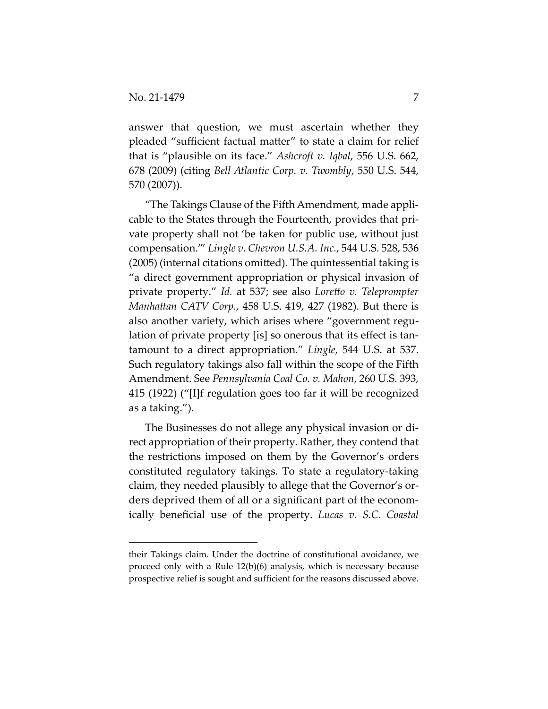answer that question, we must ascertain whether they pleaded "sufficient factual matter" to state a claim for relief that is "plausible on its face." *Ashcroft v. Iqbal*, 556 U.S. 662, 678 (2009) (citing *Bell Atlantic Corp. v. Twombly*, 550 U.S. 544, 570 (2007)).

"The Takings Clause of the Fifth Amendment, made applicable to the States through the Fourteenth, provides that private property shall not 'be taken for public use, without just compensation.'" *Lingle v. Chevron U.S.A. Inc.*, 544 U.S. 528, 536 (2005) (internal citations omitted). The quintessential taking is "a direct government appropriation or physical invasion of private property." *Id.* at 537; see also *Loretto v. Teleprompter Manhattan CATV Corp.*, 458 U.S. 419, 427 (1982). But there is also another variety, which arises where "government regulation of private property [is] so onerous that its effect is tantamount to a direct appropriation." *Lingle*, 544 U.S. at 537. Such regulatory takings also fall within the scope of the Fifth Amendment. See *Pennsylvania Coal Co. v. Mahon*, 260 U.S. 393, 415 (1922) ("[I]f regulation goes too far it will be recognized as a taking.").

The Businesses do not allege any physical invasion or direct appropriation of their property. Rather, they contend that the restrictions imposed on them by the Governor's orders constituted regulatory takings. To state a regulatory-taking claim, they needed plausibly to allege that the Governor's orders deprived them of all or a significant part of the economically beneficial use of the property. *Lucas v. S.C. Coastal* 

their Takings claim. Under the doctrine of constitutional avoidance, we proceed only with a Rule 12(b)(6) analysis, which is necessary because prospective relief is sought and sufficient for the reasons discussed above.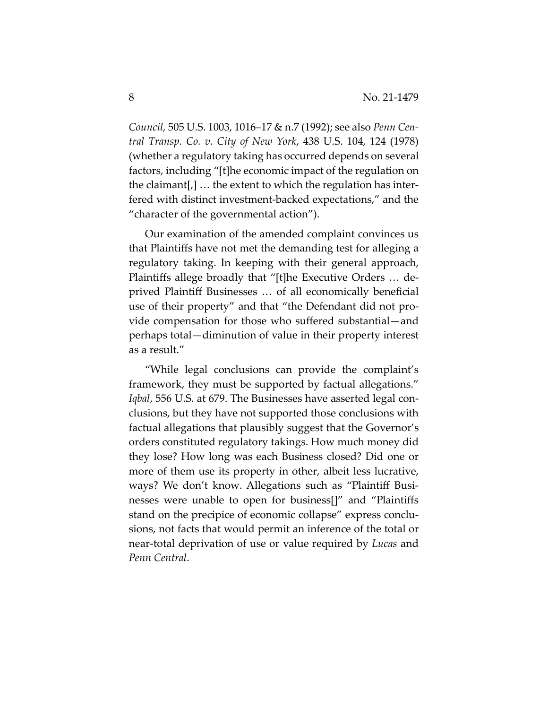*Council,* 505 U.S. 1003, 1016–17 & n.7 (1992); see also *Penn Central Transp. Co. v. City of New York*, 438 U.S. 104, 124 (1978) (whether a regulatory taking has occurred depends on several factors, including "[t]he economic impact of the regulation on the claimant[,] … the extent to which the regulation has interfered with distinct investment-backed expectations," and the "character of the governmental action").

Our examination of the amended complaint convinces us that Plaintiffs have not met the demanding test for alleging a regulatory taking. In keeping with their general approach, Plaintiffs allege broadly that "[t]he Executive Orders … deprived Plaintiff Businesses … of all economically beneficial use of their property" and that "the Defendant did not provide compensation for those who suffered substantial—and perhaps total—diminution of value in their property interest as a result."

"While legal conclusions can provide the complaint's framework, they must be supported by factual allegations." *Iqbal*, 556 U.S. at 679. The Businesses have asserted legal conclusions, but they have not supported those conclusions with factual allegations that plausibly suggest that the Governor's orders constituted regulatory takings. How much money did they lose? How long was each Business closed? Did one or more of them use its property in other, albeit less lucrative, ways? We don't know. Allegations such as "Plaintiff Businesses were unable to open for business[]" and "Plaintiffs stand on the precipice of economic collapse" express conclusions, not facts that would permit an inference of the total or near-total deprivation of use or value required by *Lucas* and *Penn Central*.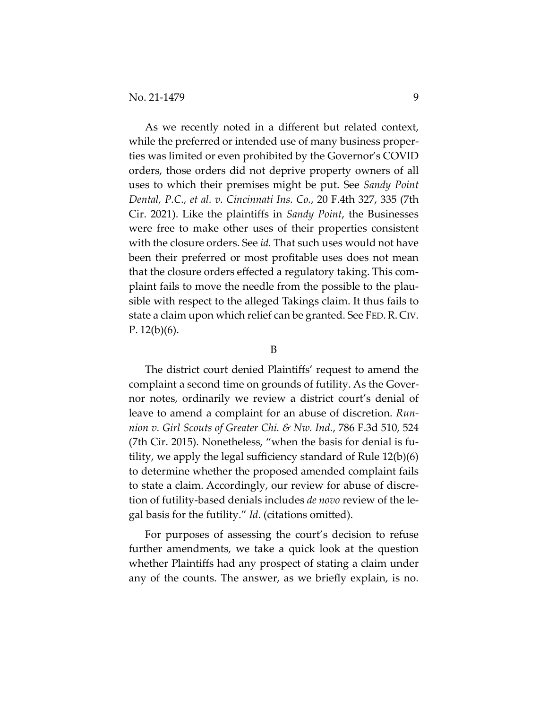As we recently noted in a different but related context, while the preferred or intended use of many business properties was limited or even prohibited by the Governor's COVID orders, those orders did not deprive property owners of all uses to which their premises might be put. See *Sandy Point Dental, P.C., et al. v. Cincinnati Ins. Co.*, 20 F.4th 327, 335 (7th Cir. 2021). Like the plaintiffs in *Sandy Point*, the Businesses were free to make other uses of their properties consistent with the closure orders. See *id.* That such uses would not have been their preferred or most profitable uses does not mean that the closure orders effected a regulatory taking. This complaint fails to move the needle from the possible to the plausible with respect to the alleged Takings claim. It thus fails to state a claim upon which relief can be granted. See FED.R. CIV. P.  $12(b)(6)$ .

#### B

The district court denied Plaintiffs' request to amend the complaint a second time on grounds of futility. As the Governor notes, ordinarily we review a district court's denial of leave to amend a complaint for an abuse of discretion. *Runnion v. Girl Scouts of Greater Chi. & Nw. Ind.*, 786 F.3d 510, 524 (7th Cir. 2015). Nonetheless, "when the basis for denial is futility, we apply the legal sufficiency standard of Rule 12(b)(6) to determine whether the proposed amended complaint fails to state a claim. Accordingly, our review for abuse of discretion of futility-based denials includes *de novo* review of the legal basis for the futility." *Id*. (citations omitted).

For purposes of assessing the court's decision to refuse further amendments, we take a quick look at the question whether Plaintiffs had any prospect of stating a claim under any of the counts. The answer, as we briefly explain, is no.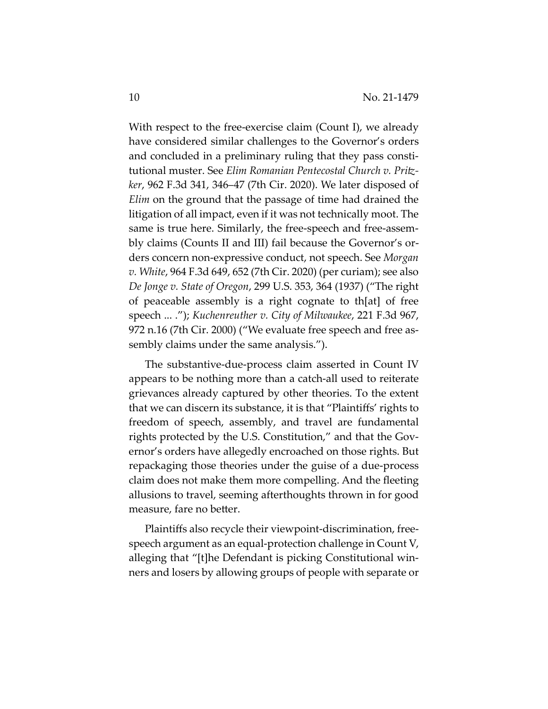With respect to the free-exercise claim (Count I), we already have considered similar challenges to the Governor's orders and concluded in a preliminary ruling that they pass constitutional muster. See *Elim Romanian Pentecostal Church v. Pritzker*, 962 F.3d 341, 346–47 (7th Cir. 2020). We later disposed of *Elim* on the ground that the passage of time had drained the litigation of all impact, even if it was not technically moot. The same is true here. Similarly, the free-speech and free-assembly claims (Counts II and III) fail because the Governor's orders concern non-expressive conduct, not speech. See *Morgan v. White*, 964 F.3d 649, 652 (7th Cir. 2020) (per curiam); see also *De Jonge v. State of Oregon*, 299 U.S. 353, 364 (1937) ("The right of peaceable assembly is a right cognate to th[at] of free speech ... ."); *Kuchenreuther v. City of Milwaukee*, 221 F.3d 967, 972 n.16 (7th Cir. 2000) ("We evaluate free speech and free assembly claims under the same analysis.").

The substantive-due-process claim asserted in Count IV appears to be nothing more than a catch-all used to reiterate grievances already captured by other theories. To the extent that we can discern its substance, it is that "Plaintiffs' rights to freedom of speech, assembly, and travel are fundamental rights protected by the U.S. Constitution," and that the Governor's orders have allegedly encroached on those rights. But repackaging those theories under the guise of a due-process claim does not make them more compelling. And the fleeting allusions to travel, seeming afterthoughts thrown in for good measure, fare no better.

Plaintiffs also recycle their viewpoint-discrimination, freespeech argument as an equal-protection challenge in Count V, alleging that "[t]he Defendant is picking Constitutional winners and losers by allowing groups of people with separate or